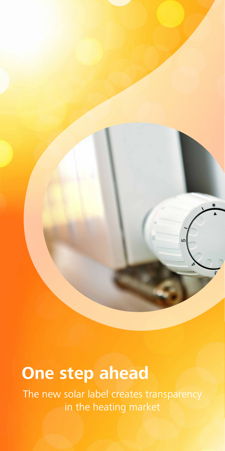**One step ahead** 

The new solar label creates transparency in the heating market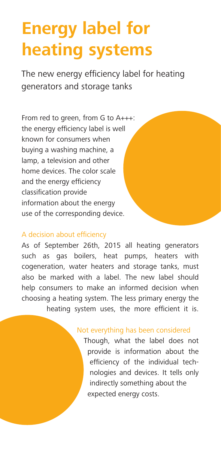# **Energy label for heating systems**

The new energy efficiency label for heating generators and storage tanks

From red to green, from G to A+++: the energy efficiency label is well known for consumers when buying a washing machine, a lamp, a television and other home devices. The color scale and the energy efficiency classification provide information about the energy use of the corresponding device.

#### A decision about efficiency

As of September 26th, 2015 all heating generators such as gas boilers, heat pumps, heaters with cogeneration, water heaters and storage tanks, must also be marked with a label. The new label should help consumers to make an informed decision when choosing a heating system. The less primary energy the heating system uses, the more efficient it is.

#### Not everything has been considered

Though, what the label does not provide is information about the efficiency of the individual technologies and devices. It tells only indirectly something about the expected energy costs.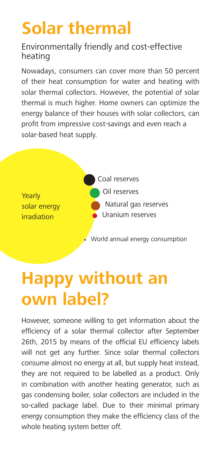## **Solar thermal**

### Environmentally friendly and cost-effective heating

Nowadays, consumers can cover more than 50 percent of their heat consumption for water and heating with solar thermal collectors. However, the potential of solar thermal is much higher. Home owners can optimize the energy balance of their houses with solar collectors, can profit from impressive cost-savings and even reach a solar-based heat supply.



# **Happy without an own label?**

However, someone willing to get information about the efficiency of a solar thermal collector after September 26th, 2015 by means of the official EU efficiency labels will not get any further. Since solar thermal collectors consume almost no energy at all, but supply heat instead, they are not required to be labelled as a product. Only in combination with another heating generator, such as gas condensing boiler, solar collectors are included in the so-called package label. Due to their minimal primary energy consumption they make the efficiency class of the whole heating system better off.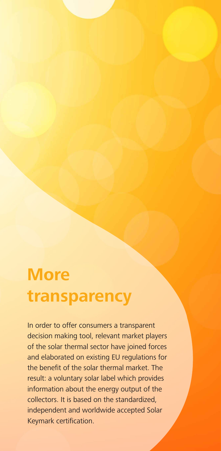## **More transparency**

In order to offer consumers a transparent decision making tool, relevant market players of the solar thermal sector have joined forces and elaborated on existing EU regulations for the benefit of the solar thermal market. The result: a voluntary solar label which provides information about the energy output of the collectors. It is based on the standardized, independent and worldwide accepted Solar Keymark certification.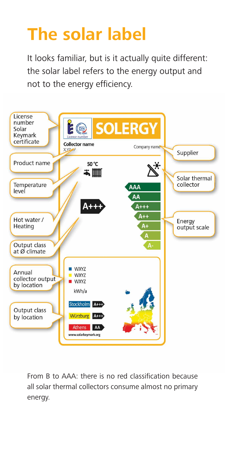# **The solar label**

It looks familiar, but is it actually quite different: the solar label refers to the energy output and not to the energy efficiency.



From B to AAA: there is no red classification because all solar thermal collectors consume almost no primary energy.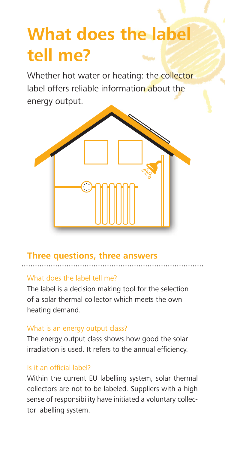# **What does the label tell me?**

Whether hot water or heating: the collector label offers reliable information about the energy output.



### **Three questions, three answers**

#### What does the label tell me?

The label is a decision making tool for the selection of a solar thermal collector which meets the own heating demand.

### What is an energy output class?

The energy output class shows how good the solar irradiation is used. It refers to the annual efficiency.

### Is it an official label?

Within the current EU labelling system, solar thermal collectors are not to be labeled. Suppliers with a high sense of responsibility have initiated a voluntary collector labelling system.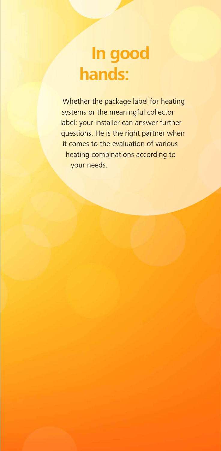## **In good hands:**

Whether the package label for heating systems or the meaningful collector label: your installer can answer further questions. He is the right partner when it comes to the evaluation of various heating combinations according to your needs.